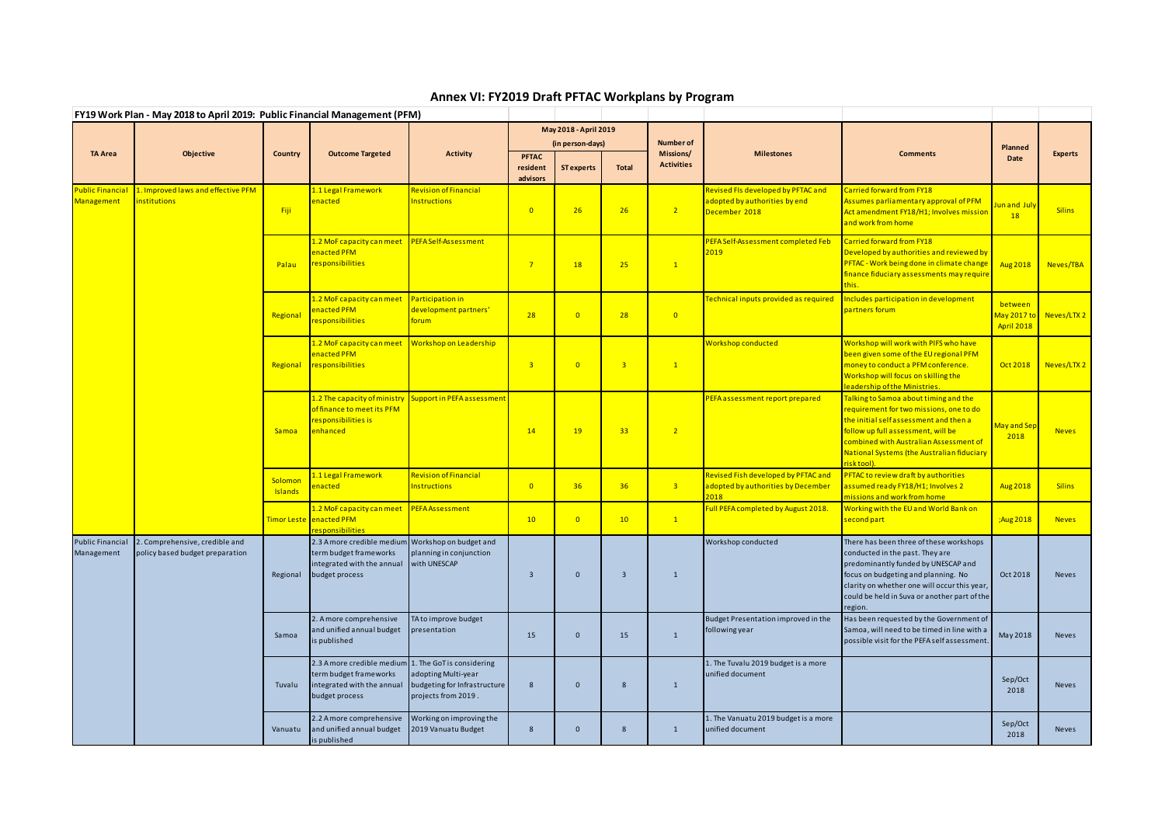## **Annex VI: FY2019 Draft PFTAC Workplans by Program**

|                | FY19 Work Plan - May 2018 to April 2019: Public Financial Management (PFM)         |                    |                                                                                                                                |                                                                            |                                      |                                       |                         |                                                    |                                                                                      |                                                                                                                                                                                                                                                                        |                                             |                |
|----------------|------------------------------------------------------------------------------------|--------------------|--------------------------------------------------------------------------------------------------------------------------------|----------------------------------------------------------------------------|--------------------------------------|---------------------------------------|-------------------------|----------------------------------------------------|--------------------------------------------------------------------------------------|------------------------------------------------------------------------------------------------------------------------------------------------------------------------------------------------------------------------------------------------------------------------|---------------------------------------------|----------------|
|                | Objective                                                                          | <b>Country</b>     | <b>Outcome Targeted</b>                                                                                                        | <b>Activity</b>                                                            | May 2018 - April 2019                |                                       |                         |                                                    |                                                                                      |                                                                                                                                                                                                                                                                        |                                             |                |
| <b>TA Area</b> |                                                                                    |                    |                                                                                                                                |                                                                            | <b>PFTAC</b><br>resident<br>advisors | (in person-days)<br><b>ST</b> experts | <b>Total</b>            | <b>Number of</b><br>Missions/<br><b>Activities</b> | <b>Milestones</b>                                                                    | <b>Comments</b>                                                                                                                                                                                                                                                        | <b>Planned</b><br>Date                      | <b>Experts</b> |
| Management     | Public Financial 1. Improved laws and effective PFM<br>institutions                | Fiji               | 1.1 Legal Framework<br>enacted                                                                                                 | <b>Revision of Financial</b><br><b>Instructions</b>                        | $\overline{0}$                       | 26                                    | 26                      | $\sqrt{2}$                                         | Revised FIs developed by PFTAC and<br>adopted by authorities by end<br>December 2018 | <b>Carried forward from FY18</b><br>Assumes parliamentary approval of PFM<br>Act amendment FY18/H1; Involves mission<br>and work from home                                                                                                                             | Jun and July<br>18                          | <b>Silins</b>  |
|                |                                                                                    | Palau              | <mark>1.2 MoF capacity can meet</mark><br>enacted PFM<br>responsibilities                                                      | <b>PEFA Self-Assessment</b>                                                | $7^{\circ}$                          | 18                                    | 25                      | $\mathbf{1}$                                       | PEFA Self-Assessment completed Feb<br>2019                                           | <b>Carried forward from FY18</b><br>Developed by authorities and reviewed by<br>PFTAC - Work being done in climate change<br>finance fiduciary assessments may require<br>this.                                                                                        | Aug 2018                                    | Neves/TBA      |
|                |                                                                                    | Regional           | 1.2 MoF capacity can meet<br>enacted PFM<br>responsibilities                                                                   | <b>Participation in</b><br>development partners'<br>forum                  | 28                                   | $\overline{0}$                        | 28                      | $\overline{0}$                                     | Technical inputs provided as required                                                | Includes participation in development<br>partners forum                                                                                                                                                                                                                | between<br>May 2017 to<br><b>April 2018</b> | Neves/LTX 2    |
|                |                                                                                    | Regional           | <mark>1.2 MoF capacity can meet</mark><br>enacted PFM<br>responsibilities                                                      | <b>Workshop on Leadership</b>                                              | 3 <sup>°</sup>                       | $\overline{0}$                        | $\overline{\mathbf{3}}$ | $\mathbf{1}$                                       | Workshop conducted                                                                   | Workshop will work with PIFS who have<br>been given some of the EU regional PFM<br>money to conduct a PFM conference.<br>Workshop will focus on skilling the<br>leadership of the Ministries.                                                                          | Oct 2018                                    | Neves/LTX 2    |
|                |                                                                                    | <b>Samoa</b>       | 1.2 The capacity of ministry<br>of finance to meet its PFM<br>responsibilities is<br>enhanced                                  | Support in PEFA assessment                                                 | 14                                   | 19                                    | 33                      | $\overline{2}$                                     | PEFA assessment report prepared                                                      | Talking to Samoa about timing and the<br>requirement for two missions, one to do<br>the initial self assessment and then a<br>follow up full assessment, will be<br>combined with Australian Assessment of<br>National Systems (the Australian fiduciary<br>risktool). | May and Sep<br>2018                         | <b>Neves</b>   |
|                |                                                                                    | Solomon<br>Islands | 1.1 Legal Framework<br>enacted                                                                                                 | <b>Revision of Financial</b><br><b>Instructions</b>                        | $\overline{0}$                       | 36                                    | 36                      | 3 <sup>o</sup>                                     | Revised Fish developed by PFTAC and<br>adopted by authorities by December<br>2018    | PFTAC to review draft by authorities<br>assumed ready FY18/H1; Involves 2<br>missions and work from home                                                                                                                                                               | Aug 2018                                    | <b>Silins</b>  |
|                |                                                                                    |                    | 1.2 MoF capacity can meet<br>Timor Leste enacted PFM<br>responsibilities                                                       | <b>PEFA Assessment</b>                                                     | 10 <sup>°</sup>                      | $\overline{0}$                        | 10                      | $\boxed{1}$                                        | Full PEFA completed by August 2018.                                                  | Working with the EU and World Bank on<br>second part                                                                                                                                                                                                                   | ;Aug 2018                                   | <b>Neves</b>   |
| Management     | Public Financial 2. Comprehensive, credible and<br>policy based budget preparation | Regional           | 2.3 A more credible medium Workshop on budget and<br>term budget frameworks<br>integrated with the annual<br>budget process    | planning in conjunction<br>with UNESCAP                                    | -3                                   | $\mathbf{0}$                          | $\overline{\mathbf{3}}$ | $\mathbf{1}$                                       | Workshop conducted                                                                   | There has been three of these workshops<br>conducted in the past. They are<br>predominantly funded by UNESCAP and<br>focus on budgeting and planning. No<br>clarity on whether one will occur this year,<br>could be held in Suva or another part of the<br>region.    | Oct 2018                                    | <b>Neves</b>   |
|                |                                                                                    | Samoa              | 2. A more comprehensive<br>and unified annual budget<br>is published                                                           | TA to improve budget<br>presentation                                       | 15                                   | $\overline{0}$                        | 15                      | $\mathbf{1}$                                       | Budget Presentation improved in the<br>following year                                | Has been requested by the Government of<br>Samoa, will need to be timed in line with a<br>possible visit for the PEFA self assessment.                                                                                                                                 | May 2018                                    | <b>Neves</b>   |
|                |                                                                                    | Tuvalu             | 2.3 A more credible medium 1. The GoT is considering<br>term budget frameworks<br>integrated with the annual<br>budget process | adopting Multi-year<br>budgeting for Infrastructure<br>projects from 2019. | 8                                    | $\overline{0}$                        | 8                       | $\mathbf{1}$                                       | 1. The Tuvalu 2019 budget is a more<br>unified document                              |                                                                                                                                                                                                                                                                        | Sep/Oct<br>2018                             | <b>Neves</b>   |
|                |                                                                                    | Vanuatu            | 2.2 Amore comprehensive<br>and unified annual budget<br>is published                                                           | Working on improving the<br>2019 Vanuatu Budget                            | 8                                    | $\overline{0}$                        | 8                       | $\mathbf{1}$                                       | 1. The Vanuatu 2019 budget is a more<br>unified document                             |                                                                                                                                                                                                                                                                        | Sep/Oct<br>2018                             | Neves          |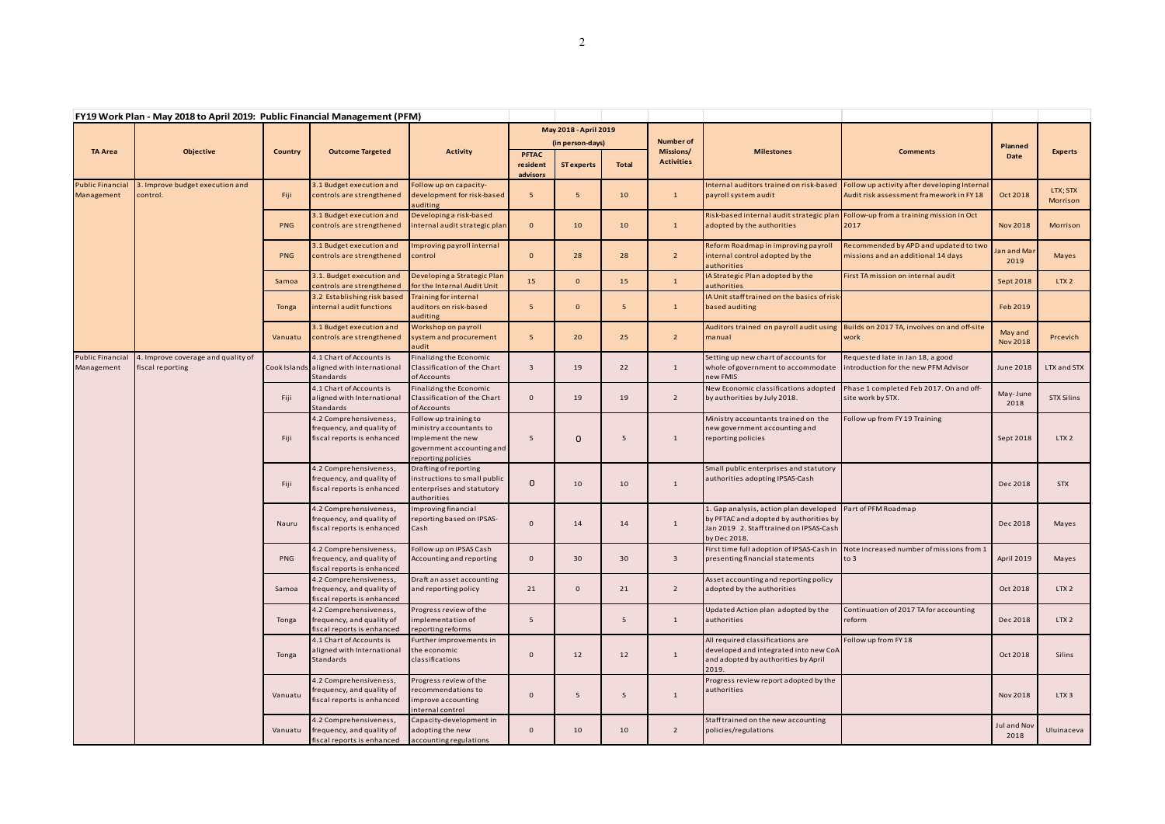| FY19 Work Plan - May 2018 to April 2019: Public Financial Management (PFM) |                                                        |                |                                                                                   |                                                                                                                          |                                                          |                                       |                       |                                                    |                                                                                                                           |                                                                                                                                             |                            |                      |       |
|----------------------------------------------------------------------------|--------------------------------------------------------|----------------|-----------------------------------------------------------------------------------|--------------------------------------------------------------------------------------------------------------------------|----------------------------------------------------------|---------------------------------------|-----------------------|----------------------------------------------------|---------------------------------------------------------------------------------------------------------------------------|---------------------------------------------------------------------------------------------------------------------------------------------|----------------------------|----------------------|-------|
| <b>TA Area</b>                                                             | Objective                                              | <b>Country</b> | <b>Outcome Targeted</b>                                                           | <b>Activity</b>                                                                                                          |                                                          |                                       | May 2018 - April 2019 |                                                    |                                                                                                                           |                                                                                                                                             |                            |                      |       |
|                                                                            |                                                        |                |                                                                                   |                                                                                                                          | <b>PFTAC</b><br>resident                                 | (in person-days)<br><b>ST experts</b> | <b>Total</b>          | <b>Number of</b><br>Missions/<br><b>Activities</b> | <b>Milestones</b>                                                                                                         | <b>Comments</b>                                                                                                                             | Planned<br>Date            | Experts              |       |
| <b>Public Financial</b><br>Management                                      | 3. Improve budget execution and<br>control.            | Fiji           | 3.1 Budget execution and<br>controls are strengthened                             | Follow up on capacity-<br>development for risk-based                                                                     | advisors<br>- 5                                          | 5 <sup>5</sup>                        | 10                    | $\mathbf{1}$                                       | Internal auditors trained on risk-based<br>payroll system audit                                                           | Follow up activity after developing Internal<br>Audit risk assessment framework in FY18                                                     | Oct 2018                   | LTX; STX<br>Morrison |       |
|                                                                            |                                                        | <b>PNG</b>     | 3.1 Budget execution and<br>controls are strengthened                             | auditing<br>Developing a risk-based<br>internal audit strategic plan                                                     | $\mathbf{0}$                                             | 10                                    | 10                    | $\mathbf{1}$                                       | Risk-based internal audit strategic plar<br>adopted by the authorities                                                    | Follow-up from a training mission in Oct<br>2017                                                                                            | <b>Nov 2018</b>            | Morrison             |       |
|                                                                            |                                                        | <b>PNG</b>     | 3.1 Budget execution and<br>controls are strengthened                             | Improving payroll internal<br>control                                                                                    | $\mathbf{0}$                                             | 28                                    | 28                    | $\overline{2}$                                     | Reform Roadmap in improving payroll<br>internal control adopted by the<br>authorities                                     | Recommended by APD and updated to two<br>missions and an additional 14 days                                                                 | Jan and Mar<br>2019        | Mayes                |       |
|                                                                            |                                                        | Samoa          | 3.1. Budget execution and<br>controls are strengthened                            | Developing a Strategic Plan<br>for the Internal Audit Unit                                                               | 15                                                       | $\mathbf{0}$                          | 15                    | $\mathbf{1}$                                       | IA Strategic Plan adopted by the<br>authorities                                                                           | First TA mission on internal audit                                                                                                          | Sept 2018                  | LTX <sub>2</sub>     |       |
|                                                                            |                                                        | <b>Tonga</b>   | 3.2 Establishing risk based<br>internal audit functions                           | <b>Training for internal</b><br>auditors on risk-based<br>auditing                                                       | -5                                                       | $\mathbf{0}$                          | 5 <sub>5</sub>        | $\mathbf{1}$                                       | IA Unit staff trained on the basics of risk-<br>based auditing                                                            |                                                                                                                                             | Feb 2019                   |                      |       |
|                                                                            |                                                        | Vanuatu        | 3.1 Budget execution and<br>controls are strengthened                             | Workshop on payroll<br>system and procurement<br>audit                                                                   | 5                                                        | 20                                    | 25                    | $\overline{2}$                                     | manual                                                                                                                    | Auditors trained on payroll audit using Builds on 2017 TA, involves on and off-site<br>work                                                 | May and<br><b>Nov 2018</b> | Prcevich             |       |
| <b>Public Financial</b><br>Management                                      | 4. Improve coverage and quality of<br>fiscal reporting |                | 4.1 Chart of Accounts is<br>Cook Islands aligned with International<br>Standards  | Finalizing the Economic<br>Classification of the Chart<br>of Accounts                                                    | $\overline{\mathbf{3}}$                                  | 19                                    | 22                    | 1                                                  | Setting up new chart of accounts for<br>whole of government to accommodate<br>new FMIS                                    | Requested late in Jan 18, a good<br>introduction for the new PFM Advisor                                                                    | June 2018                  | LTX and STX          |       |
|                                                                            |                                                        | Fiji           | 4.1 Chart of Accounts is<br>aligned with International<br>Standards               | Finalizing the Economic<br>Classification of the Chart<br>of Accounts                                                    | $\mathbf{0}$                                             | 19                                    | 19                    | $\overline{2}$                                     | New Economic classifications adopted<br>by authorities by July 2018.                                                      | Phase 1 completed Feb 2017. On and off-<br>site work by STX.                                                                                | May-June<br>2018           | <b>STX Silins</b>    |       |
|                                                                            |                                                        | Fiji           | 4.2 Comprehensiveness,<br>frequency, and quality of<br>fiscal reports is enhanced | Follow up training to<br>ministry accountants to<br>Implement the new<br>government accounting and<br>reporting policies | $5\overline{5}$                                          | $\mathbf 0$                           | 5                     | 1                                                  | Ministry accountants trained on the<br>new government accounting and<br>reporting policies                                | Follow up from FY 19 Training                                                                                                               | Sept 2018                  | LTX <sub>2</sub>     |       |
|                                                                            |                                                        | Fiji           | 4.2 Comprehensiveness,<br>frequency, and quality of<br>fiscal reports is enhanced | Drafting of reporting<br>instructions to small public<br>enterprises and statutory<br>authorities                        | $\mathbf{0}$                                             | 10                                    | 10                    | $\mathbf{1}$                                       | Small public enterprises and statutory<br>authorities adopting IPSAS-Cash                                                 |                                                                                                                                             | Dec 2018                   | <b>STX</b>           |       |
|                                                                            |                                                        |                | Nauru                                                                             | 4.2 Comprehensiveness,<br>frequency, and quality of<br>fiscal reports is enhanced                                        | Improving financial<br>reporting based on IPSAS-<br>Cash | $\mathbf 0$                           | 14                    | 14                                                 | $\mathbf{1}$                                                                                                              | 1. Gap analysis, action plan developed<br>by PFTAC and adopted by authorities by<br>Jan 2019 2. Staff trained on IPSAS-Cash<br>by Dec 2018. | Part of PFM Roadmap        | Dec 2018             | Mayes |
|                                                                            |                                                        | <b>PNG</b>     | 4.2 Comprehensiveness,<br>frequency, and quality of<br>fiscal reports is enhanced | Follow up on IPSAS Cash<br>Accounting and reporting                                                                      | $\overline{0}$                                           | 30                                    | 30                    | 3                                                  | presenting financial statements                                                                                           | First time full adoption of IPSAS-Cash in Note increased number of missions from 1<br>to 3                                                  | April 2019                 | Mayes                |       |
|                                                                            |                                                        | Samoa          | 4.2 Comprehensiveness,<br>frequency, and quality of<br>fiscal reports is enhanced | Draft an asset accounting<br>and reporting policy                                                                        | 21                                                       | $\mathbf{0}$                          | 21                    | $\overline{2}$                                     | Asset accounting and reporting policy<br>adopted by the authorities                                                       |                                                                                                                                             | Oct 2018                   | LTX <sub>2</sub>     |       |
|                                                                            |                                                        | Tonga          | 4.2 Comprehensiveness,<br>frequency, and quality of<br>fiscal reports is enhanced | Progress review of the<br>implementation of<br>reporting reforms                                                         | 5                                                        |                                       | 5                     | 1                                                  | Updated Action plan adopted by the<br>authorities                                                                         | Continuation of 2017 TA for accounting<br>reform                                                                                            | Dec 2018                   | LTX <sub>2</sub>     |       |
|                                                                            |                                                        | Tonga          | 4.1 Chart of Accounts is<br>aligned with International<br>Standards               | Further improvements in<br>the economic<br>classifications                                                               | $\mathbf{0}$                                             | 12                                    | 12                    | $\mathbf{1}$                                       | All required classifications are<br>developed and integrated into new CoA<br>and adopted by authorities by April<br>2019. | Follow up from FY 18                                                                                                                        | Oct 2018                   | Silins               |       |
|                                                                            |                                                        | Vanuatu        | 4.2 Comprehensiveness,<br>frequency, and quality of<br>fiscal reports is enhanced | Progress review of the<br>recommendations to<br>improve accounting<br>internal control                                   | $\mathbf 0$                                              | 5                                     | 5                     | $\mathbf{1}$                                       | Progress review report adopted by the<br>authorities                                                                      |                                                                                                                                             | <b>Nov 2018</b>            | LTX <sub>3</sub>     |       |
|                                                                            |                                                        | Vanuatu        | 4.2 Comprehensiveness,<br>frequency, and quality of<br>fiscal reports is enhanced | Capacity-development in<br>adopting the new<br>accounting regulations                                                    | $\mathbf{0}$                                             | 10                                    | 10                    | $\overline{2}$                                     | Staff trained on the new accounting<br>policies/regulations                                                               |                                                                                                                                             | Jul and Nov<br>2018        | Uluinaceva           |       |